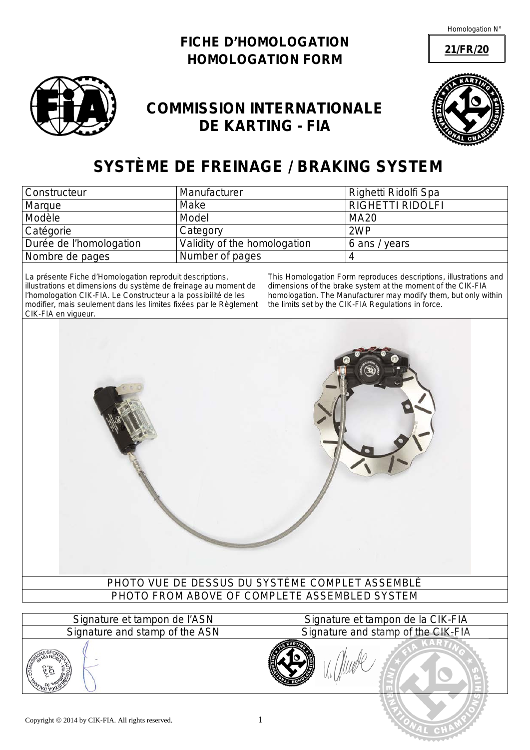**21/FR/20**





## **COMMISSION INTERNATIONALE DE KARTING - FIA**



# **SYSTÈME DE FREINAGE /** *BRAKING SYSTEM*

| <b>Constructeur</b>     | Manufacturer                 | Righetti Ridolfi Spa    |
|-------------------------|------------------------------|-------------------------|
| Marque                  | Make                         | <b>RIGHETTI RIDOLFI</b> |
| Modèle                  | Model                        | <b>MA20</b>             |
| Catégorie               | Category                     | 2WP                     |
| Durée de l'homologation | Validity of the homologation | 6 ans / years           |
| Nombre de pages         | Number of pages              |                         |

La présente Fiche d'Homologation reproduit descriptions, illustrations et dimensions du système de freinage au moment de l'homologation CIK-FIA. Le Constructeur a la possibilité de les modifier, mais seulement dans les limites fixées par le Règlement CIK-FIA en vigueur.

*This Homologation Form reproduces descriptions, illustrations and dimensions of the brake system at the moment of the CIK-FIA homologation. The Manufacturer may modify them, but only within the limits set by the CIK-FIA Regulations in force.*



| Signature et tampon de l'ASN   | Signature et tampon de la CIK-FIA  |
|--------------------------------|------------------------------------|
| Signature and stamp of the ASN | Signature and stamp of the CIK-FIA |
|                                |                                    |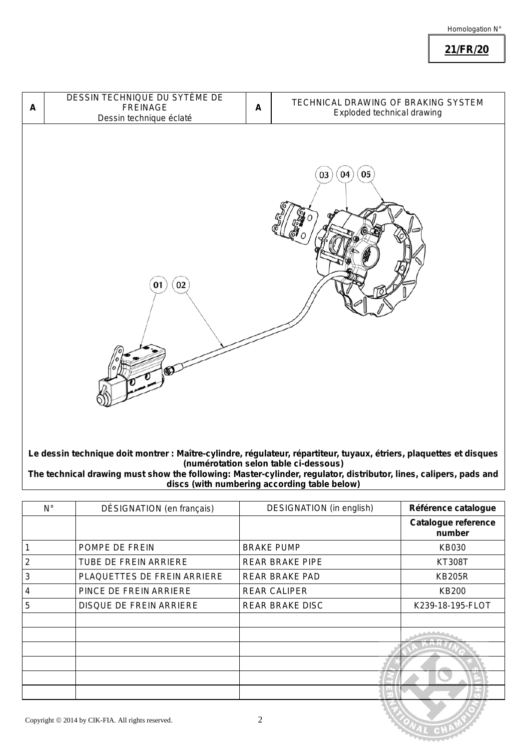**21/FR/20**



**Le dessin technique doit montrer : Maître-cylindre, régulateur, répartiteur, tuyaux, étriers, plaquettes et disques (numérotation selon table ci-dessous)**

*The technical drawing must show the following: Master-cylinder, regulator, distributor, lines, calipers, pads and discs (with numbering according table below)*

| $N^{\circ}$    | DÉSIGNATION (en français)    | DESIGNATION (in english) | Référence catalogue           |
|----------------|------------------------------|--------------------------|-------------------------------|
|                |                              |                          | Catalogue reference<br>number |
|                | POMPE DE FREIN               | <b>BRAKE PUMP</b>        | KB030                         |
| $\overline{2}$ | <b>TUBE DE FREIN ARRIERE</b> | <b>REAR BRAKE PIPE</b>   | <b>KT308T</b>                 |
| 3              | PLAQUETTES DE FREIN ARRIERE  | REAR BRAKE PAD           | <b>KB205R</b>                 |
| 4              | PINCE DE FREIN ARRIERE       | <b>REAR CALIPER</b>      | <b>KB200</b>                  |
| 5              | DISQUE DE FREIN ARRIERE      | REAR BRAKE DISC          | K239-18-195-FLOT              |
|                |                              |                          |                               |
|                |                              |                          |                               |
|                |                              |                          |                               |
|                |                              |                          |                               |
|                |                              |                          |                               |
|                |                              |                          |                               |
|                |                              |                          |                               |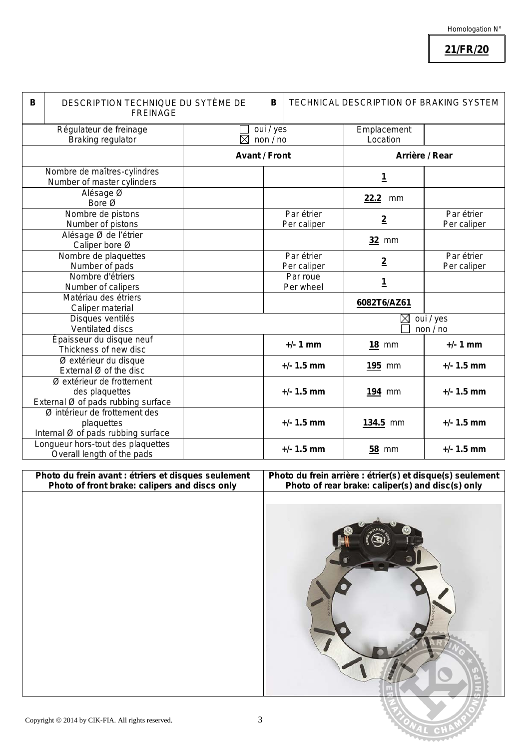### **21/FR/20**

| B                                                                 | DESCRIPTION TECHNIQUE DU SYTÈME DE<br><b>FREINAGE</b>                             |                      |  | <b>TECHNICAL DESCRIPTION OF BRAKING SYSTEM</b><br>в |                              |                           |
|-------------------------------------------------------------------|-----------------------------------------------------------------------------------|----------------------|--|-----------------------------------------------------|------------------------------|---------------------------|
| Régulateur de freinage<br>$\boxtimes$<br><b>Braking regulator</b> |                                                                                   | oui / yes<br>non/no  |  | Emplacement<br>Location                             |                              |                           |
|                                                                   |                                                                                   | <b>Avant / Front</b> |  | Arrière / Rear                                      |                              |                           |
|                                                                   | Nombre de maîtres-cylindres<br>Number of master cylinders                         |                      |  |                                                     | <u>1</u>                     |                           |
|                                                                   | Alésage Ø<br>Bore Ø                                                               |                      |  |                                                     | 22.2<br>mm                   |                           |
|                                                                   | Nombre de pistons<br>Number of pistons                                            |                      |  | Par étrier<br>Per caliper                           | $\overline{2}$               | Par étrier<br>Per caliper |
|                                                                   | Alésage Ø de l'étrier<br>Caliper bore Ø                                           |                      |  |                                                     | 32 mm                        |                           |
|                                                                   | Nombre de plaquettes<br>Number of pads                                            |                      |  | Par étrier<br>Per caliper                           | $\overline{2}$               | Par étrier<br>Per caliper |
|                                                                   | Nombre d'étriers<br><b>Number of calipers</b>                                     |                      |  | Par roue<br>Per wheel                               | <u>1</u>                     |                           |
|                                                                   | Matériau des étriers<br>Caliper material                                          |                      |  |                                                     | 6082T6/AZ61                  |                           |
|                                                                   | Disques ventilés<br>Ventilated discs                                              |                      |  |                                                     | oui / yes<br>⊠<br>non $/$ no |                           |
|                                                                   | Épaisseur du disque neuf<br>Thickness of new disc                                 |                      |  | $+/- 1$ mm                                          | <b>18 mm</b>                 | $+/- 1$ mm                |
|                                                                   | Ø extérieur du disque<br>External $Ø$ of the disc                                 |                      |  | $+/- 1.5$ mm                                        | 195 mm                       | $+/- 1.5$ mm              |
|                                                                   | Ø extérieur de frottement<br>des plaquettes<br>External Ø of pads rubbing surface |                      |  | $+/- 1.5$ mm                                        | <b>194 mm</b>                | $+/- 1.5$ mm              |
|                                                                   | Ø intérieur de frottement des<br>plaquettes<br>Internal Ø of pads rubbing surface |                      |  | $+/- 1.5$ mm                                        | 134.5 mm                     | $+/- 1.5$ mm              |
|                                                                   | Longueur hors-tout des plaquettes<br>Overall length of the pads                   |                      |  | $+/- 1.5$ mm                                        | <b>58 mm</b>                 | $+/- 1.5$ mm              |

**Photo du frein avant : étriers et disques seulement** *Photo of front brake: calipers and discs only* **Photo du frein arrière : étrier(s) et disque(s) seulement** *Photo of rear brake: caliper(s) and disc(s) only*